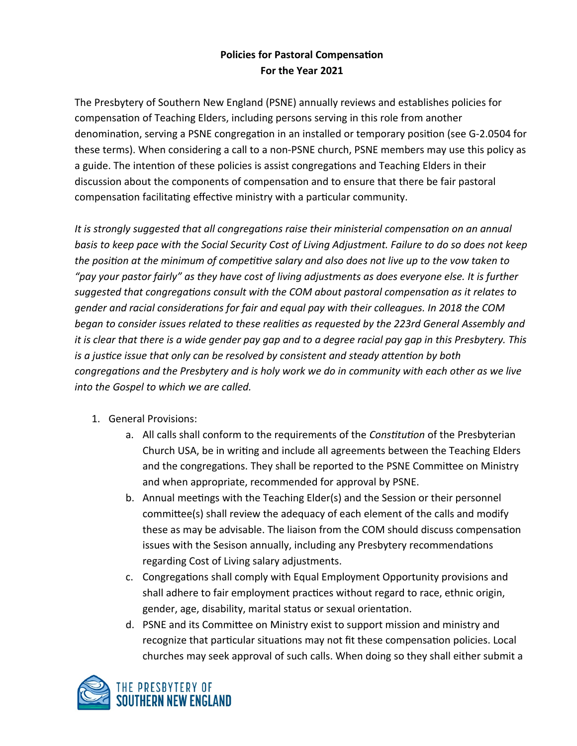## **Policies for Pastoral Compensation For the Year 2021**

The Presbytery of Southern New England (PSNE) annually reviews and establishes policies for compensation of Teaching Elders, including persons serving in this role from another denomination, serving a PSNE congregation in an installed or temporary position (see G-2.0504 for these terms). When considering a call to a non-PSNE church, PSNE members may use this policy as a guide. The intention of these policies is assist congregations and Teaching Elders in their discussion about the components of compensation and to ensure that there be fair pastoral compensation facilitating effective ministry with a particular community.

*It is strongly suggested that all congregations raise their ministerial compensation on an annual basis to keep pace with the Social Security Cost of Living Adjustment. Failure to do so does not keep the position at the minimum of competitive salary and also does not live up to the vow taken to "pay your pastor fairly" as they have cost of living adjustments as does everyone else. It is further suggested that congregations consult with the COM about pastoral compensation as it relates to gender and racial considerations for fair and equal pay with their colleagues. In 2018 the COM began to consider issues related to these realities as requested by the 223rd General Assembly and it is clear that there is a wide gender pay gap and to a degree racial pay gap in this Presbytery. This is a justice issue that only can be resolved by consistent and steady attention by both congregations and the Presbytery and is holy work we do in community with each other as we live into the Gospel to which we are called.* 

- 1. General Provisions:
	- a. All calls shall conform to the requirements of the *Constitution* of the Presbyterian Church USA, be in writing and include all agreements between the Teaching Elders and the congregations. They shall be reported to the PSNE Committee on Ministry and when appropriate, recommended for approval by PSNE.
	- b. Annual meetings with the Teaching Elder(s) and the Session or their personnel committee(s) shall review the adequacy of each element of the calls and modify these as may be advisable. The liaison from the COM should discuss compensation issues with the Sesison annually, including any Presbytery recommendations regarding Cost of Living salary adjustments.
	- c. Congregations shall comply with Equal Employment Opportunity provisions and shall adhere to fair employment practices without regard to race, ethnic origin, gender, age, disability, marital status or sexual orientation.
	- d. PSNE and its Committee on Ministry exist to support mission and ministry and recognize that particular situations may not fit these compensation policies. Local churches may seek approval of such calls. When doing so they shall either submit a

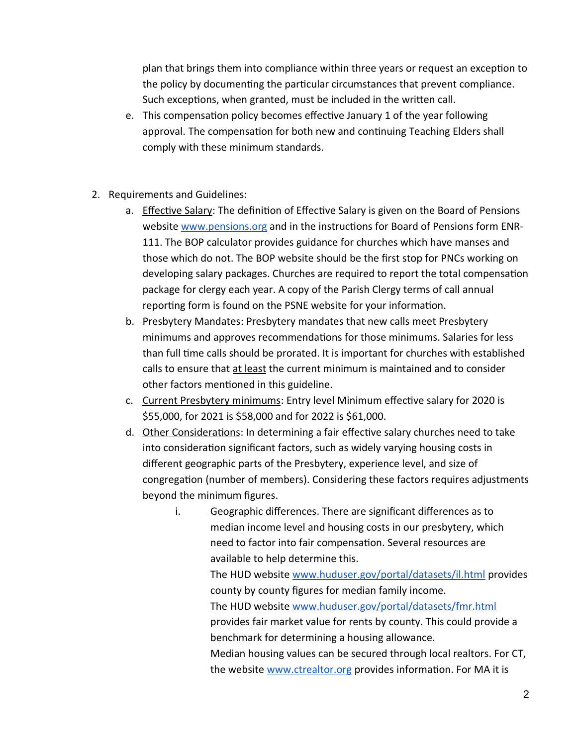plan that brings them into compliance within three years or request an exception to the policy by documenting the particular circumstances that prevent compliance. Such exceptions, when granted, must be included in the written call.

- e. This compensation policy becomes effective January 1 of the year following approval. The compensation for both new and continuing Teaching Elders shall comply with these minimum standards.
- 2. Requirements and Guidelines:
	- a. **Effective Salary:** The definition of Effective Salary is given on the Board of Pensions website [www.pensions.org](http://www.pensions.org/) and in the instructions for Board of Pensions form ENR-111. The BOP calculator provides guidance for churches which have manses and those which do not. The BOP website should be the first stop for PNCs working on developing salary packages. Churches are required to report the total compensation package for clergy each year. A copy of the Parish Clergy terms of call annual reporting form is found on the PSNE website for your information.
	- b. Presbytery Mandates: Presbytery mandates that new calls meet Presbytery minimums and approves recommendations for those minimums. Salaries for less than full time calls should be prorated. It is important for churches with established calls to ensure that at least the current minimum is maintained and to consider other factors mentioned in this guideline.
	- c. Current Presbytery minimums: Entry level Minimum effective salary for 2020 is \$55,000, for 2021 is \$58,000 and for 2022 is \$61,000.
	- d. Other Considerations: In determining a fair effective salary churches need to take into consideration significant factors, such as widely varying housing costs in different geographic parts of the Presbytery, experience level, and size of congregation (number of members). Considering these factors requires adjustments beyond the minimum figures.
		- i. Geographic differences. There are significant differences as to median income level and housing costs in our presbytery, which need to factor into fair compensation. Several resources are available to help determine this. The HUD website [www.huduser.gov/portal/datasets/il.html](http://www.huduser.gov/portal/datasets/il.html) provides county by county figures for median family income. The HUD website [www.huduser.gov/portal/datasets/fmr.html](http://www.huduser.gov/portal/datasets/fmr.html) provides fair market value for rents by county. This could provide a benchmark for determining a housing allowance. Median housing values can be secured through local realtors. For CT, the website [www.ctrealtor.org](http://www.ctrealtor.org/) provides information. For MA it is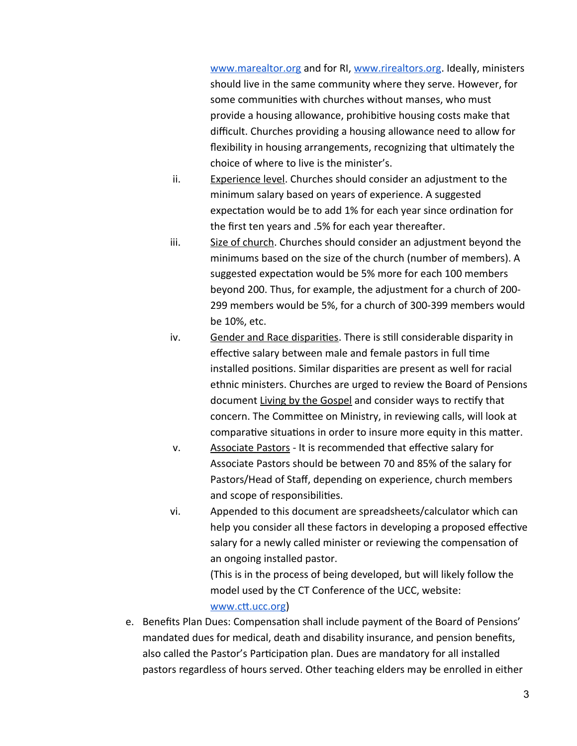[www.marealtor.org](http://www.marealtor.org/) and for RI, [www.rirealtors.org](http://www.rirealtors.org/). Ideally, ministers should live in the same community where they serve. However, for some communities with churches without manses, who must provide a housing allowance, prohibitive housing costs make that difficult. Churches providing a housing allowance need to allow for flexibility in housing arrangements, recognizing that ultimately the choice of where to live is the minister's.

- ii. Experience level. Churches should consider an adjustment to the minimum salary based on years of experience. A suggested expectation would be to add 1% for each year since ordination for the first ten years and .5% for each year thereafter.
- iii. Size of church. Churches should consider an adjustment beyond the minimums based on the size of the church (number of members). A suggested expectation would be 5% more for each 100 members beyond 200. Thus, for example, the adjustment for a church of 200- 299 members would be 5%, for a church of 300-399 members would be 10%, etc.
- iv. Gender and Race disparities. There is still considerable disparity in effective salary between male and female pastors in full time installed positions. Similar disparities are present as well for racial ethnic ministers. Churches are urged to review the Board of Pensions document Living by the Gospel and consider ways to rectify that concern. The Committee on Ministry, in reviewing calls, will look at comparative situations in order to insure more equity in this matter.
- v. Associate Pastors It is recommended that effective salary for Associate Pastors should be between 70 and 85% of the salary for Pastors/Head of Staff, depending on experience, church members and scope of responsibilities.
- vi. Appended to this document are spreadsheets/calculator which can help you consider all these factors in developing a proposed effective salary for a newly called minister or reviewing the compensation of an ongoing installed pastor.

(This is in the process of being developed, but will likely follow the model used by the CT Conference of the UCC, website:

## [www.ctt.ucc.org](http://www.ctt.ucc.org/))

e. Benefits Plan Dues: Compensation shall include payment of the Board of Pensions' mandated dues for medical, death and disability insurance, and pension benefits, also called the Pastor's Participation plan. Dues are mandatory for all installed pastors regardless of hours served. Other teaching elders may be enrolled in either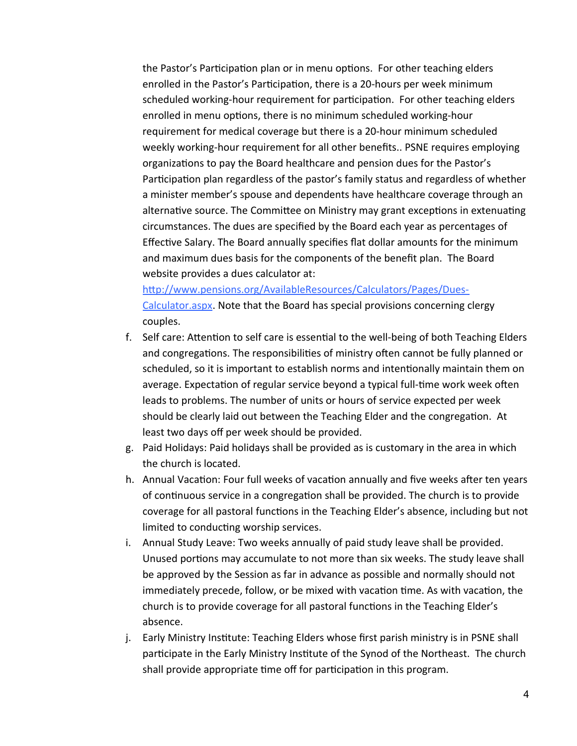the Pastor's Participation plan or in menu options. For other teaching elders enrolled in the Pastor's Participation, there is a 20-hours per week minimum scheduled working-hour requirement for participation. For other teaching elders enrolled in menu options, there is no minimum scheduled working-hour requirement for medical coverage but there is a 20-hour minimum scheduled weekly working-hour requirement for all other benefits.. PSNE requires employing organizations to pay the Board healthcare and pension dues for the Pastor's Participation plan regardless of the pastor's family status and regardless of whether a minister member's spouse and dependents have healthcare coverage through an alternative source. The Committee on Ministry may grant exceptions in extenuating circumstances. The dues are specified by the Board each year as percentages of Effective Salary. The Board annually specifies flat dollar amounts for the minimum and maximum dues basis for the components of the benefit plan. The Board website provides a dues calculator at:

[http://www.pensions.org/AvailableResources/Calculators/Pages/Dues-](http://www.pensions.org/AvailableResources/Calculators/Pages/Dues-Calculator.aspx)[Calculator.aspx.](http://www.pensions.org/AvailableResources/Calculators/Pages/Dues-Calculator.aspx) Note that the Board has special provisions concerning clergy couples.

- f. Self care: Attention to self care is essential to the well-being of both Teaching Elders and congregations. The responsibilities of ministry often cannot be fully planned or scheduled, so it is important to establish norms and intentionally maintain them on average. Expectation of regular service beyond a typical full-time work week often leads to problems. The number of units or hours of service expected per week should be clearly laid out between the Teaching Elder and the congregation. At least two days off per week should be provided.
- g. Paid Holidays: Paid holidays shall be provided as is customary in the area in which the church is located.
- h. Annual Vacation: Four full weeks of vacation annually and five weeks after ten years of continuous service in a congregation shall be provided. The church is to provide coverage for all pastoral functions in the Teaching Elder's absence, including but not limited to conducting worship services.
- i. Annual Study Leave: Two weeks annually of paid study leave shall be provided. Unused portions may accumulate to not more than six weeks. The study leave shall be approved by the Session as far in advance as possible and normally should not immediately precede, follow, or be mixed with vacation time. As with vacation, the church is to provide coverage for all pastoral functions in the Teaching Elder's absence.
- j. Early Ministry Institute: Teaching Elders whose first parish ministry is in PSNE shall participate in the Early Ministry Institute of the Synod of the Northeast. The church shall provide appropriate time off for participation in this program.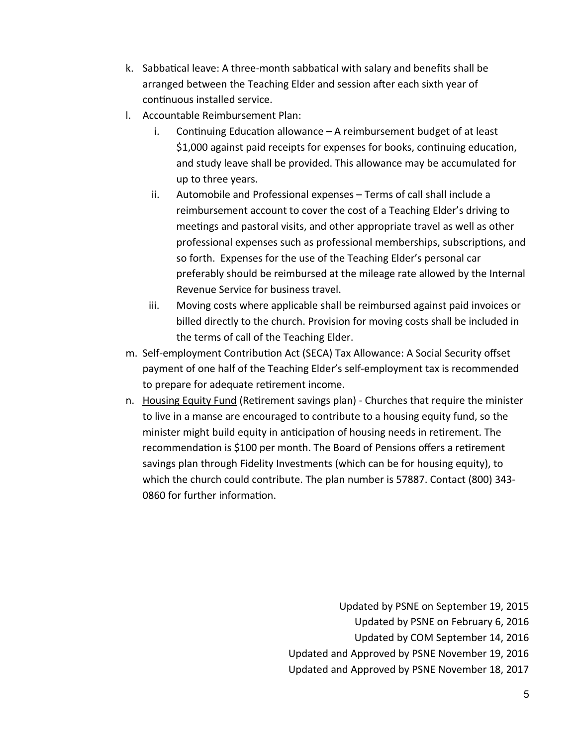- k. Sabbatical leave: A three-month sabbatical with salary and benefits shall be arranged between the Teaching Elder and session after each sixth year of continuous installed service.
- l. Accountable Reimbursement Plan:
	- i. Continuing Education allowance A reimbursement budget of at least \$1,000 against paid receipts for expenses for books, continuing education, and study leave shall be provided. This allowance may be accumulated for up to three years.
	- ii. Automobile and Professional expenses Terms of call shall include a reimbursement account to cover the cost of a Teaching Elder's driving to meetings and pastoral visits, and other appropriate travel as well as other professional expenses such as professional memberships, subscriptions, and so forth. Expenses for the use of the Teaching Elder's personal car preferably should be reimbursed at the mileage rate allowed by the Internal Revenue Service for business travel.
	- iii. Moving costs where applicable shall be reimbursed against paid invoices or billed directly to the church. Provision for moving costs shall be included in the terms of call of the Teaching Elder.
- m. Self-employment Contribution Act (SECA) Tax Allowance: A Social Security offset payment of one half of the Teaching Elder's self-employment tax is recommended to prepare for adequate retirement income.
- n. Housing Equity Fund (Retirement savings plan) Churches that require the minister to live in a manse are encouraged to contribute to a housing equity fund, so the minister might build equity in anticipation of housing needs in retirement. The recommendation is \$100 per month. The Board of Pensions offers a retirement savings plan through Fidelity Investments (which can be for housing equity), to which the church could contribute. The plan number is 57887. Contact (800) 343- 0860 for further information.

Updated by PSNE on September 19, 2015 Updated by PSNE on February 6, 2016 Updated by COM September 14, 2016 Updated and Approved by PSNE November 19, 2016 Updated and Approved by PSNE November 18, 2017